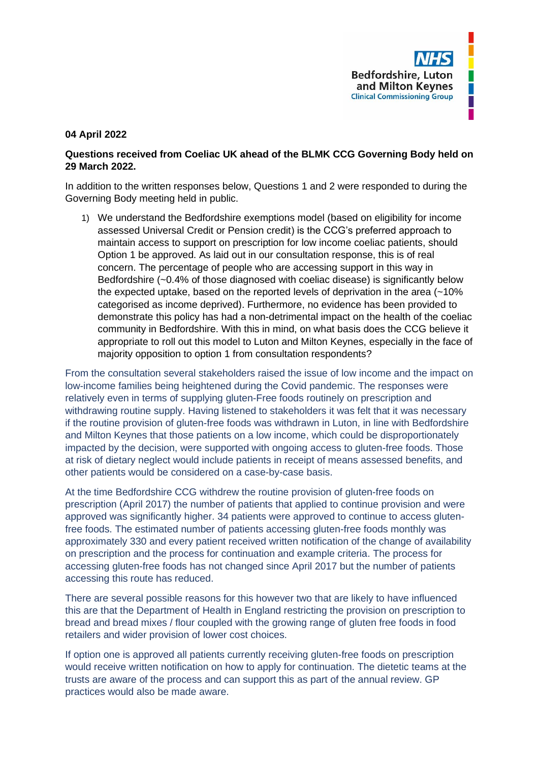

## **04 April 2022**

## **Questions received from Coeliac UK ahead of the BLMK CCG Governing Body held on 29 March 2022.**

In addition to the written responses below, Questions 1 and 2 were responded to during the Governing Body meeting held in public.

1) We understand the Bedfordshire exemptions model (based on eligibility for income assessed Universal Credit or Pension credit) is the CCG's preferred approach to maintain access to support on prescription for low income coeliac patients, should Option 1 be approved. As laid out in our consultation response, this is of real concern. The percentage of people who are accessing support in this way in Bedfordshire (~0.4% of those diagnosed with coeliac disease) is significantly below the expected uptake, based on the reported levels of deprivation in the area (~10% categorised as income deprived). Furthermore, no evidence has been provided to demonstrate this policy has had a non-detrimental impact on the health of the coeliac community in Bedfordshire. With this in mind, on what basis does the CCG believe it appropriate to roll out this model to Luton and Milton Keynes, especially in the face of majority opposition to option 1 from consultation respondents?

From the consultation several stakeholders raised the issue of low income and the impact on low-income families being heightened during the Covid pandemic. The responses were relatively even in terms of supplying gluten-Free foods routinely on prescription and withdrawing routine supply. Having listened to stakeholders it was felt that it was necessary if the routine provision of gluten-free foods was withdrawn in Luton, in line with Bedfordshire and Milton Keynes that those patients on a low income, which could be disproportionately impacted by the decision, were supported with ongoing access to gluten-free foods. Those at risk of dietary neglect would include patients in receipt of means assessed benefits, and other patients would be considered on a case-by-case basis.

At the time Bedfordshire CCG withdrew the routine provision of gluten-free foods on prescription (April 2017) the number of patients that applied to continue provision and were approved was significantly higher. 34 patients were approved to continue to access glutenfree foods. The estimated number of patients accessing gluten-free foods monthly was approximately 330 and every patient received written notification of the change of availability on prescription and the process for continuation and example criteria. The process for accessing gluten-free foods has not changed since April 2017 but the number of patients accessing this route has reduced.

There are several possible reasons for this however two that are likely to have influenced this are that the Department of Health in England restricting the provision on prescription to bread and bread mixes / flour coupled with the growing range of gluten free foods in food retailers and wider provision of lower cost choices.

If option one is approved all patients currently receiving gluten-free foods on prescription would receive written notification on how to apply for continuation. The dietetic teams at the trusts are aware of the process and can support this as part of the annual review. GP practices would also be made aware.